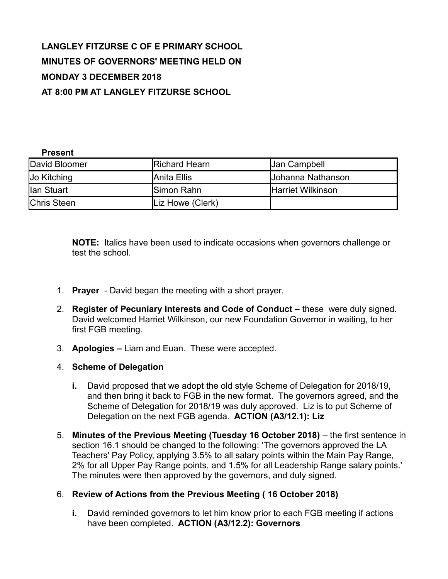# **LANGLEY FITZURSE C OF E PRIMARY SCHOOL MINUTES OF GOVERNORS' MEETING HELD ON MONDAY 3 DECEMBER 2018 AT 8:00 PM AT LANGLEY FITZURSE SCHOOL**

#### **Present**

| David Bloomer      | <b>Richard Hearn</b> | <b>Jan Campbell</b> |
|--------------------|----------------------|---------------------|
| Jo Kitching        | IAnita Ellis         | Uohanna Nathanson   |
| llan Stuart        | <b>ISimon Rahn</b>   | IHarriet Wilkinson  |
| <b>Chris Steen</b> | Liz Howe (Clerk)     |                     |

**NOTE:** Italics have been used to indicate occasions when governors challenge or test the school.

- 1. **Prayer**  David began the meeting with a short prayer.
- 2. **Register of Pecuniary Interests and Code of Conduct –** these were duly signed. David welcomed Harriet Wilkinson, our new Foundation Governor in waiting, to her first FGB meeting.
- 3. **Apologies** Liam and Euan. These were accepted.
- 4. **Scheme of Delegation**
	- **i.** David proposed that we adopt the old style Scheme of Delegation for 2018/19, and then bring it back to FGB in the new format. The governors agreed, and the Scheme of Delegation for 2018/19 was duly approved. Liz is to put Scheme of Delegation on the next FGB agenda. **ACTION (A3/12.1): Liz**
- 5. **Minutes of the Previous Meeting (Tuesday 16 October 2018)** the first sentence in section 16.1 should be changed to the following: 'The governors approved the LA Teachers' Pay Policy, applying 3.5% to all salary points within the Main Pay Range, 2% for all Upper Pay Range points, and 1.5% for all Leadership Range salary points.' The minutes were then approved by the governors, and duly signed.

#### 6. **Review of Actions from the Previous Meeting ( 16 October 2018)**

**i.** David reminded governors to let him know prior to each FGB meeting if actions have been completed. **ACTION (A3/12.2): Governors**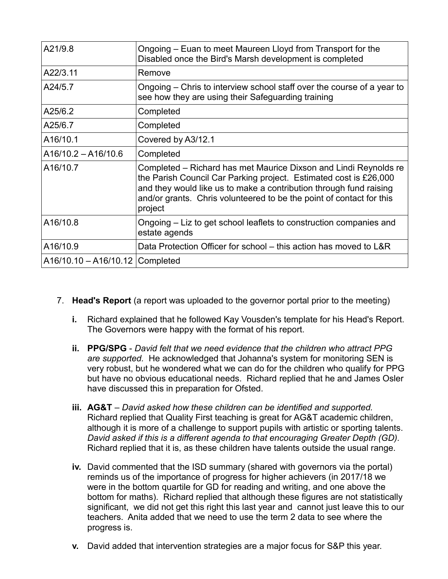| A21/9.8                           | Ongoing – Euan to meet Maureen Lloyd from Transport for the<br>Disabled once the Bird's Marsh development is completed                                                                                                                                                                         |
|-----------------------------------|------------------------------------------------------------------------------------------------------------------------------------------------------------------------------------------------------------------------------------------------------------------------------------------------|
| A22/3.11                          | Remove                                                                                                                                                                                                                                                                                         |
| A24/5.7                           | Ongoing – Chris to interview school staff over the course of a year to<br>see how they are using their Safeguarding training                                                                                                                                                                   |
| A25/6.2                           | Completed                                                                                                                                                                                                                                                                                      |
| A25/6.7                           | Completed                                                                                                                                                                                                                                                                                      |
| A16/10.1                          | Covered by A3/12.1                                                                                                                                                                                                                                                                             |
| $A16/10.2 - A16/10.6$             | Completed                                                                                                                                                                                                                                                                                      |
| A16/10.7                          | Completed – Richard has met Maurice Dixson and Lindi Reynolds re<br>the Parish Council Car Parking project. Estimated cost is £26,000<br>and they would like us to make a contribution through fund raising<br>and/or grants. Chris volunteered to be the point of contact for this<br>project |
| A16/10.8                          | Ongoing – Liz to get school leaflets to construction companies and<br>estate agends                                                                                                                                                                                                            |
| A16/10.9                          | Data Protection Officer for school – this action has moved to L&R                                                                                                                                                                                                                              |
| A16/10.10 - A16/10.12   Completed |                                                                                                                                                                                                                                                                                                |

- 7. **Head's Report** (a report was uploaded to the governor portal prior to the meeting)
	- **i.** Richard explained that he followed Kay Vousden's template for his Head's Report. The Governors were happy with the format of his report.
	- **ii. PPG/SPG** *David felt that we need evidence that the children who attract PPG are supported.* He acknowledged that Johanna's system for monitoring SEN is very robust, but he wondered what we can do for the children who qualify for PPG but have no obvious educational needs. Richard replied that he and James Osler have discussed this in preparation for Ofsted.
	- **iii. AG&T**  *David asked how these children can be identified and supported.* Richard replied that Quality First teaching is great for AG&T academic children, although it is more of a challenge to support pupils with artistic or sporting talents. *David asked if this is a different agenda to that encouraging Greater Depth (GD).* Richard replied that it is, as these children have talents outside the usual range.
	- **iv.** David commented that the ISD summary (shared with governors via the portal) reminds us of the importance of progress for higher achievers (in 2017/18 we were in the bottom quartile for GD for reading and writing, and one above the bottom for maths). Richard replied that although these figures are not statistically significant, we did not get this right this last year and cannot just leave this to our teachers. Anita added that we need to use the term 2 data to see where the progress is.
	- **v.** David added that intervention strategies are a major focus for S&P this year.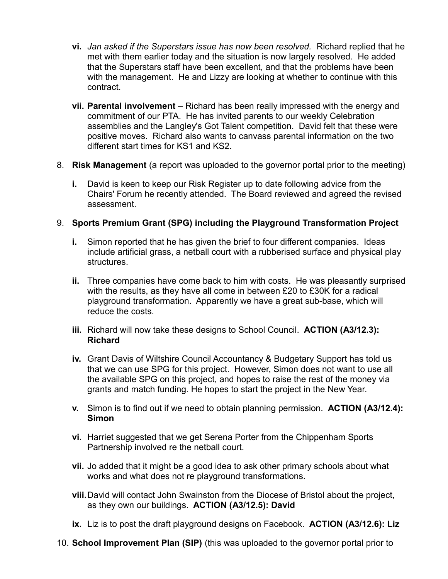- **vi.** *Jan asked if the Superstars issue has now been resolved.* Richard replied that he met with them earlier today and the situation is now largely resolved. He added that the Superstars staff have been excellent, and that the problems have been with the management. He and Lizzy are looking at whether to continue with this contract.
- **vii. Parental involvement** Richard has been really impressed with the energy and commitment of our PTA. He has invited parents to our weekly Celebration assemblies and the Langley's Got Talent competition. David felt that these were positive moves. Richard also wants to canvass parental information on the two different start times for KS1 and KS2.
- 8. **Risk Management** (a report was uploaded to the governor portal prior to the meeting)
	- **i.** David is keen to keep our Risk Register up to date following advice from the Chairs' Forum he recently attended. The Board reviewed and agreed the revised assessment.

## 9. **Sports Premium Grant (SPG) including the Playground Transformation Project**

- **i.** Simon reported that he has given the brief to four different companies. Ideas include artificial grass, a netball court with a rubberised surface and physical play structures.
- **ii.** Three companies have come back to him with costs. He was pleasantly surprised with the results, as they have all come in between £20 to £30K for a radical playground transformation. Apparently we have a great sub-base, which will reduce the costs.
- **iii.** Richard will now take these designs to School Council. **ACTION (A3/12.3): Richard**
- **iv.** Grant Davis of Wiltshire Council Accountancy & Budgetary Support has told us that we can use SPG for this project. However, Simon does not want to use all the available SPG on this project, and hopes to raise the rest of the money via grants and match funding. He hopes to start the project in the New Year.
- **v.** Simon is to find out if we need to obtain planning permission. **ACTION (A3/12.4): Simon**
- **vi.** Harriet suggested that we get Serena Porter from the Chippenham Sports Partnership involved re the netball court.
- **vii.** Jo added that it might be a good idea to ask other primary schools about what works and what does not re playground transformations.
- **viii.**David will contact John Swainston from the Diocese of Bristol about the project, as they own our buildings. **ACTION (A3/12.5): David**
- **ix.** Liz is to post the draft playground designs on Facebook. **ACTION (A3/12.6): Liz**
- 10. **School Improvement Plan (SIP)** (this was uploaded to the governor portal prior to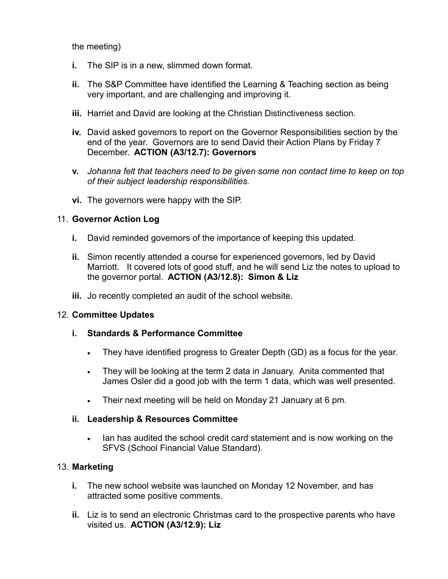the meeting)

- **i.** The SIP is in a new, slimmed down format.
- **ii.** The S&P Committee have identified the Learning & Teaching section as being very important, and are challenging and improving it.
- **iii.** Harriet and David are looking at the Christian Distinctiveness section.
- **iv.** David asked governors to report on the Governor Responsibilities section by the end of the year. Governors are to send David their Action Plans by Friday 7 December. **ACTION (A3/12.7): Governors**
- **v.** *Johanna felt that teachers need to be given some non contact time to keep on top of their subject leadership responsibilities.*
- **vi.** The governors were happy with the SIP.

## 11. **Governor Action Log**

- **i.** David reminded governors of the importance of keeping this updated.
- **ii.** Simon recently attended a course for experienced governors, led by David Marriott. It covered lots of good stuff, and he will send Liz the notes to upload to the governor portal. **ACTION (A3/12.8): Simon & Liz**
- **iii.** Jo recently completed an audit of the school website.

#### 12. **Committee Updates**

## **i. Standards & Performance Committee**

- They have identified progress to Greater Depth (GD) as a focus for the year.
- They will be looking at the term 2 data in January. Anita commented that James Osler did a good job with the term 1 data, which was well presented.
- Their next meeting will be held on Monday 21 January at 6 pm.

#### **ii. Leadership & Resources Committee**

 Ian has audited the school credit card statement and is now working on the SFVS (School Financial Value Standard).

## 13. **Marketing**

- **i.** The new school website was launched on Monday 12 November, and has attracted some positive comments.
- **ii.** Liz is to send an electronic Christmas card to the prospective parents who have visited us. **ACTION (A3/12.9): Liz**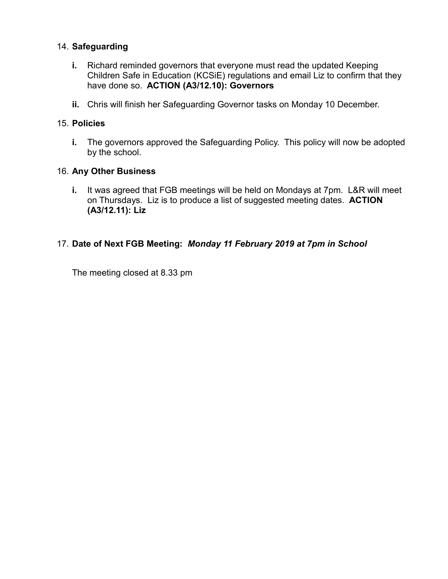## 14. **Safeguarding**

- **i.** Richard reminded governors that everyone must read the updated Keeping Children Safe in Education (KCSiE) regulations and email Liz to confirm that they have done so. **ACTION (A3/12.10): Governors**
- **ii.** Chris will finish her Safeguarding Governor tasks on Monday 10 December.

#### 15. **Policies**

**i.** The governors approved the Safeguarding Policy. This policy will now be adopted by the school.

#### 16. **Any Other Business**

**i.** It was agreed that FGB meetings will be held on Mondays at 7pm. L&R will meet on Thursdays. Liz is to produce a list of suggested meeting dates. **ACTION (A3/12.11): Liz**

## 17. **Date of Next FGB Meeting:** *Monday 11 February 2019 at 7pm in School*

The meeting closed at 8.33 pm